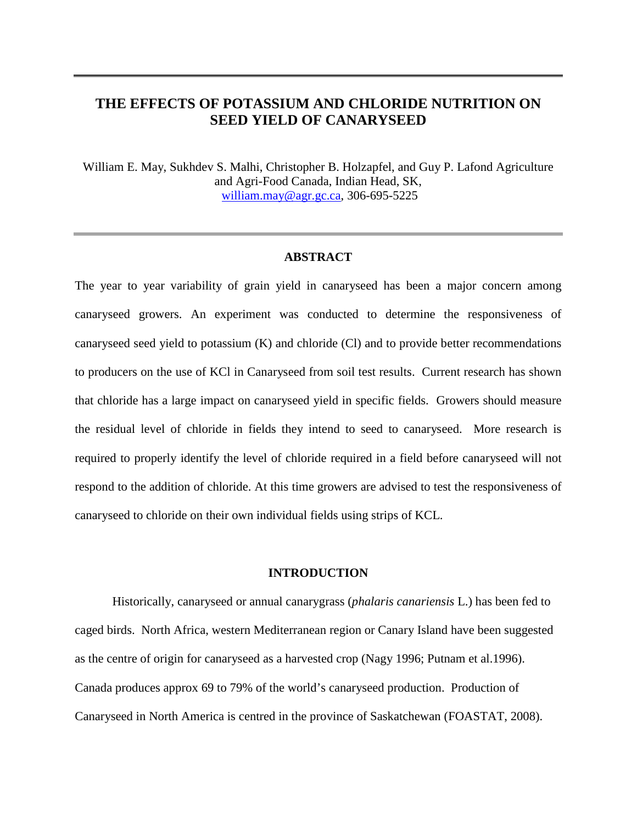# **THE EFFECTS OF POTASSIUM AND CHLORIDE NUTRITION ON SEED YIELD OF CANARYSEED**

William E. May, Sukhdev S. Malhi, Christopher B. Holzapfel, and Guy P. Lafond Agriculture and Agri-Food Canada, Indian Head, SK, [william.may@agr.gc.ca,](mailto:william.may@agr.gc.ca) 306-695-5225

# **ABSTRACT**

The year to year variability of grain yield in canaryseed has been a major concern among canaryseed growers. An experiment was conducted to determine the responsiveness of canaryseed seed yield to potassium (K) and chloride (Cl) and to provide better recommendations to producers on the use of KCl in Canaryseed from soil test results. Current research has shown that chloride has a large impact on canaryseed yield in specific fields. Growers should measure the residual level of chloride in fields they intend to seed to canaryseed. More research is required to properly identify the level of chloride required in a field before canaryseed will not respond to the addition of chloride. At this time growers are advised to test the responsiveness of canaryseed to chloride on their own individual fields using strips of KCL.

### **INTRODUCTION**

Historically, canaryseed or annual canarygrass (*phalaris canariensis* L.) has been fed to caged birds. North Africa, western Mediterranean region or Canary Island have been suggested as the centre of origin for canaryseed as a harvested crop (Nagy 1996; Putnam et al.1996). Canada produces approx 69 to 79% of the world's canaryseed production. Production of Canaryseed in North America is centred in the province of Saskatchewan (FOASTAT, 2008).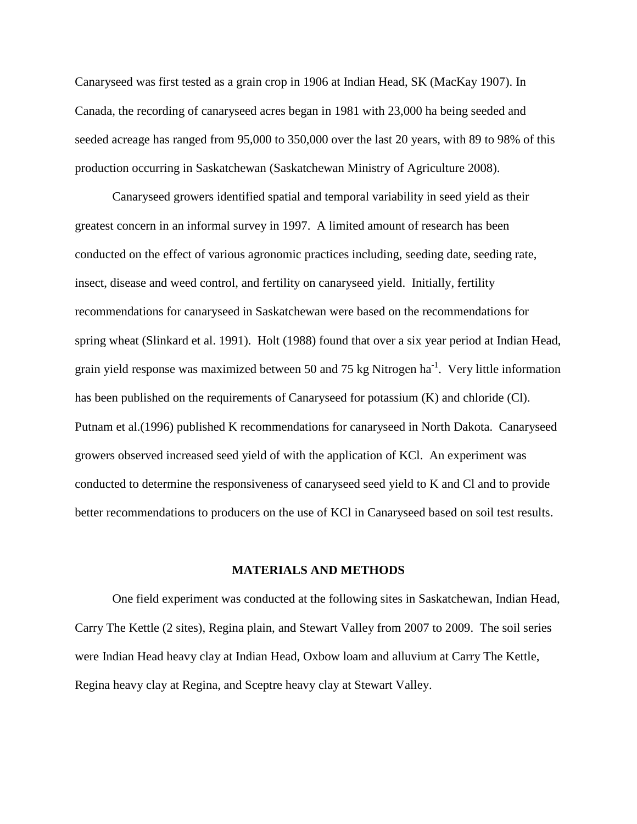Canaryseed was first tested as a grain crop in 1906 at Indian Head, SK (MacKay 1907). In Canada, the recording of canaryseed acres began in 1981 with 23,000 ha being seeded and seeded acreage has ranged from 95,000 to 350,000 over the last 20 years, with 89 to 98% of this production occurring in Saskatchewan (Saskatchewan Ministry of Agriculture 2008).

Canaryseed growers identified spatial and temporal variability in seed yield as their greatest concern in an informal survey in 1997. A limited amount of research has been conducted on the effect of various agronomic practices including, seeding date, seeding rate, insect, disease and weed control, and fertility on canaryseed yield. Initially, fertility recommendations for canaryseed in Saskatchewan were based on the recommendations for spring wheat (Slinkard et al. 1991). Holt (1988) found that over a six year period at Indian Head, grain yield response was maximized between 50 and 75 kg Nitrogen ha<sup>-1</sup>. Very little information has been published on the requirements of Canaryseed for potassium (K) and chloride (Cl). Putnam et al.(1996) published K recommendations for canaryseed in North Dakota. Canaryseed growers observed increased seed yield of with the application of KCl. An experiment was conducted to determine the responsiveness of canaryseed seed yield to K and Cl and to provide better recommendations to producers on the use of KCl in Canaryseed based on soil test results.

#### **MATERIALS AND METHODS**

One field experiment was conducted at the following sites in Saskatchewan, Indian Head, Carry The Kettle (2 sites), Regina plain, and Stewart Valley from 2007 to 2009. The soil series were Indian Head heavy clay at Indian Head, Oxbow loam and alluvium at Carry The Kettle, Regina heavy clay at Regina, and Sceptre heavy clay at Stewart Valley.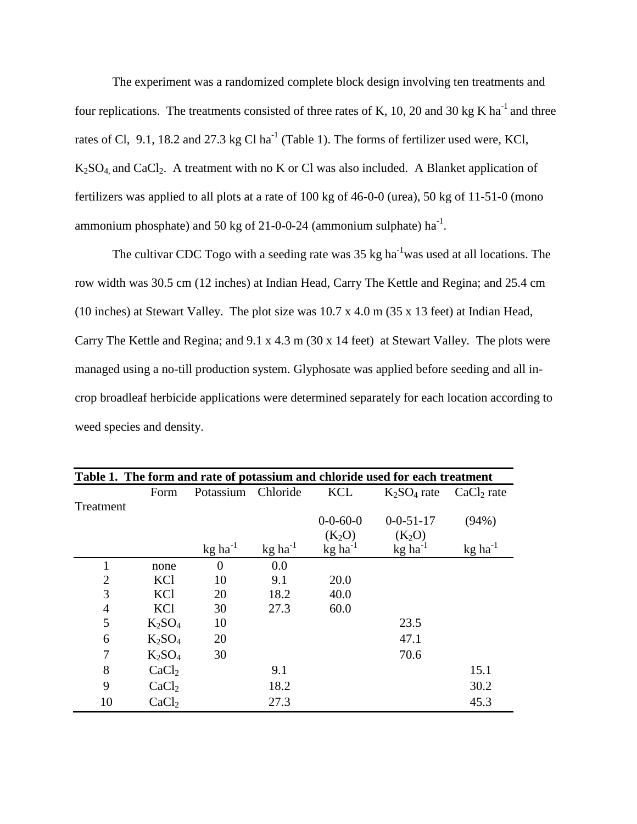The experiment was a randomized complete block design involving ten treatments and four replications. The treatments consisted of three rates of K, 10, 20 and 30 kg K ha<sup>-1</sup> and three rates of Cl, 9.1, 18.2 and 27.3 kg Cl ha<sup>-1</sup> (Table 1). The forms of fertilizer used were, KCl,  $K<sub>2</sub>SO<sub>4</sub>$  and CaCl<sub>2</sub>. A treatment with no K or Cl was also included. A Blanket application of fertilizers was applied to all plots at a rate of 100 kg of 46-0-0 (urea), 50 kg of 11-51-0 (mono ammonium phosphate) and 50 kg of 21-0-0-24 (ammonium sulphate)  $ha^{-1}$ .

The cultivar CDC Togo with a seeding rate was  $35 \text{ kg ha}^{-1}$  was used at all locations. The row width was 30.5 cm (12 inches) at Indian Head, Carry The Kettle and Regina; and 25.4 cm (10 inches) at Stewart Valley. The plot size was 10.7 x 4.0 m (35 x 13 feet) at Indian Head, Carry The Kettle and Regina; and 9.1 x 4.3 m (30 x 14 feet) at Stewart Valley*.* The plots were managed using a no-till production system. Glyphosate was applied before seeding and all incrop broadleaf herbicide applications were determined separately for each location according to weed species and density.

| Table 1. The form and rate of potassium and chloride used for each treatment |                   |                              |                       |                       |                       |                       |  |  |  |  |  |  |
|------------------------------------------------------------------------------|-------------------|------------------------------|-----------------------|-----------------------|-----------------------|-----------------------|--|--|--|--|--|--|
|                                                                              | Form              | Potassium                    | Chloride              | <b>KCL</b>            | $K_2SO_4$ rate        | $CaCl2$ rate          |  |  |  |  |  |  |
| Treatment                                                                    |                   |                              |                       |                       |                       |                       |  |  |  |  |  |  |
|                                                                              |                   |                              |                       | $0 - 0 - 60 - 0$      | $0 - 0 - 51 - 17$     | (94%)                 |  |  |  |  |  |  |
|                                                                              |                   |                              |                       | $(K_2O)$              | $(K_2O)$              |                       |  |  |  |  |  |  |
|                                                                              |                   | $\text{kg}$ ha <sup>-1</sup> | $kg$ ha <sup>-1</sup> | $kg$ ha <sup>-1</sup> | $kg$ ha <sup>-1</sup> | $kg$ ha <sup>-1</sup> |  |  |  |  |  |  |
|                                                                              | none              | $\Omega$                     | 0.0                   |                       |                       |                       |  |  |  |  |  |  |
| $\overline{2}$                                                               | KCl               | 10                           | 9.1                   | 20.0                  |                       |                       |  |  |  |  |  |  |
| 3                                                                            | <b>KCl</b>        | 20                           | 18.2                  | 40.0                  |                       |                       |  |  |  |  |  |  |
| $\overline{4}$                                                               | KCl               | 30                           | 27.3                  | 60.0                  |                       |                       |  |  |  |  |  |  |
| 5                                                                            | $K_2SO_4$         | 10                           |                       |                       | 23.5                  |                       |  |  |  |  |  |  |
| 6                                                                            | $K_2SO_4$         | 20                           |                       |                       | 47.1                  |                       |  |  |  |  |  |  |
| 7                                                                            | $K_2SO_4$         | 30                           |                       |                       | 70.6                  |                       |  |  |  |  |  |  |
| 8                                                                            | CaCl <sub>2</sub> |                              | 9.1                   |                       |                       | 15.1                  |  |  |  |  |  |  |
| 9                                                                            | CaCl <sub>2</sub> |                              | 18.2                  |                       |                       | 30.2                  |  |  |  |  |  |  |
| 10                                                                           | CaCl <sub>2</sub> |                              | 27.3                  |                       |                       | 45.3                  |  |  |  |  |  |  |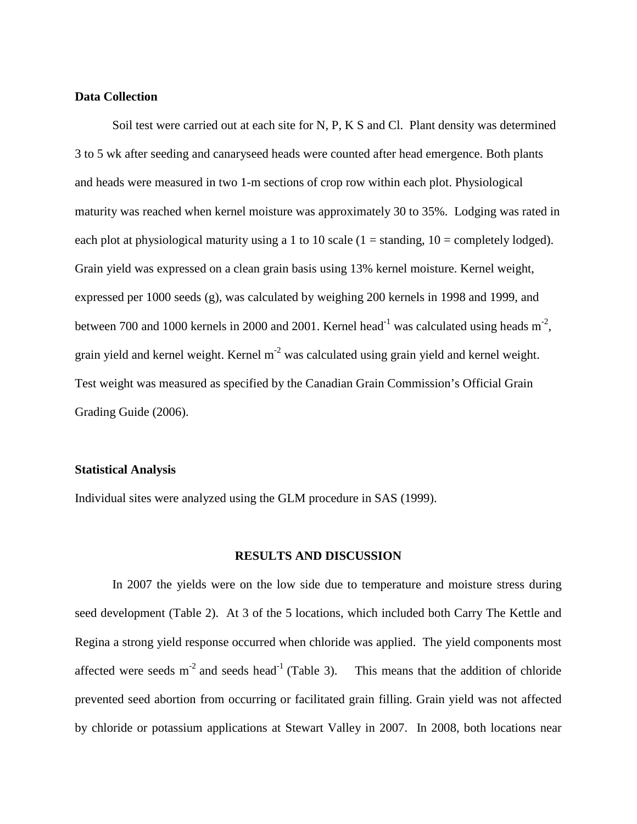### **Data Collection**

Soil test were carried out at each site for N, P, K S and Cl. Plant density was determined 3 to 5 wk after seeding and canaryseed heads were counted after head emergence. Both plants and heads were measured in two 1-m sections of crop row within each plot. Physiological maturity was reached when kernel moisture was approximately 30 to 35%. Lodging was rated in each plot at physiological maturity using a 1 to 10 scale  $(1 = \text{standing}, 10 = \text{completely loaded}).$ Grain yield was expressed on a clean grain basis using 13% kernel moisture. Kernel weight, expressed per 1000 seeds (g), was calculated by weighing 200 kernels in 1998 and 1999, and between 700 and 1000 kernels in 2000 and 2001. Kernel head<sup>-1</sup> was calculated using heads  $m^2$ , grain yield and kernel weight. Kernel m<sup>-2</sup> was calculated using grain yield and kernel weight. Test weight was measured as specified by the Canadian Grain Commission's Official Grain Grading Guide (2006).

#### **Statistical Analysis**

Individual sites were analyzed using the GLM procedure in SAS (1999).

#### **RESULTS AND DISCUSSION**

In 2007 the yields were on the low side due to temperature and moisture stress during seed development (Table 2). At 3 of the 5 locations, which included both Carry The Kettle and Regina a strong yield response occurred when chloride was applied. The yield components most affected were seeds  $m^{-2}$  and seeds head<sup>-1</sup> (Table 3). This means that the addition of chloride prevented seed abortion from occurring or facilitated grain filling. Grain yield was not affected by chloride or potassium applications at Stewart Valley in 2007. In 2008, both locations near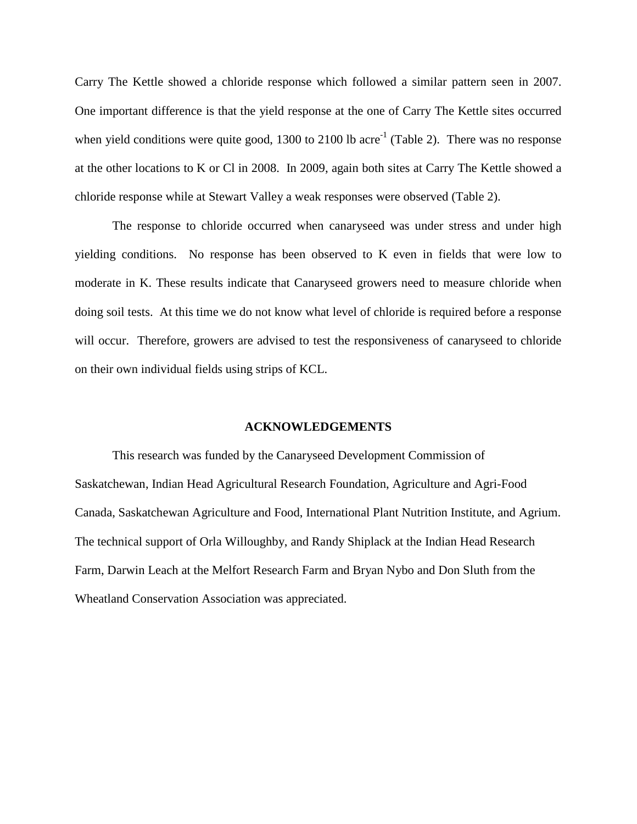Carry The Kettle showed a chloride response which followed a similar pattern seen in 2007. One important difference is that the yield response at the one of Carry The Kettle sites occurred when yield conditions were quite good, 1300 to 2100 lb acre<sup>-1</sup> (Table 2). There was no response at the other locations to K or Cl in 2008. In 2009, again both sites at Carry The Kettle showed a chloride response while at Stewart Valley a weak responses were observed (Table 2).

The response to chloride occurred when canaryseed was under stress and under high yielding conditions. No response has been observed to K even in fields that were low to moderate in K. These results indicate that Canaryseed growers need to measure chloride when doing soil tests. At this time we do not know what level of chloride is required before a response will occur. Therefore, growers are advised to test the responsiveness of canaryseed to chloride on their own individual fields using strips of KCL.

#### **ACKNOWLEDGEMENTS**

This research was funded by the Canaryseed Development Commission of Saskatchewan, Indian Head Agricultural Research Foundation, Agriculture and Agri-Food Canada, Saskatchewan Agriculture and Food, International Plant Nutrition Institute, and Agrium. The technical support of Orla Willoughby, and Randy Shiplack at the Indian Head Research Farm, Darwin Leach at the Melfort Research Farm and Bryan Nybo and Don Sluth from the Wheatland Conservation Association was appreciated.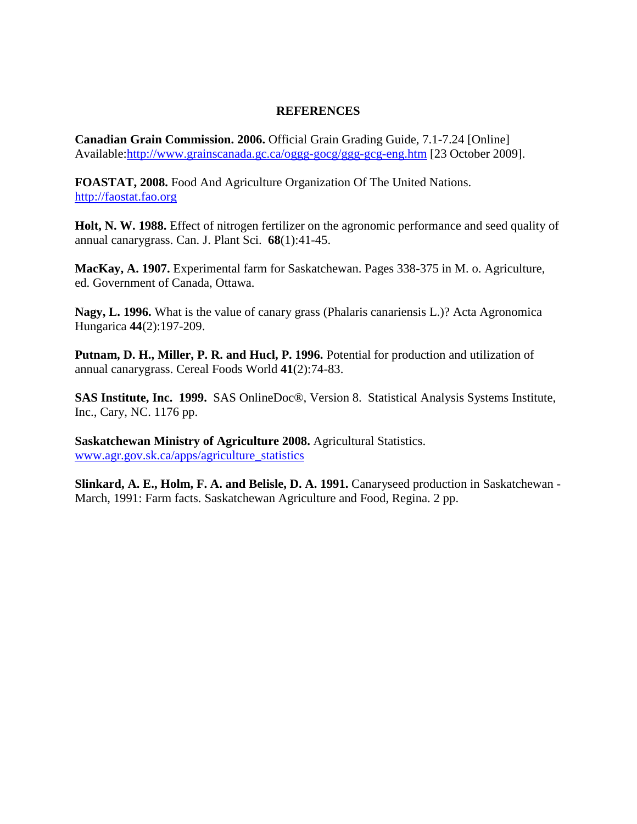# **REFERENCES**

**Canadian Grain Commission. 2006.** Official Grain Grading Guide, 7.1-7.24 [Online] Available[:http://www.grainscanada.gc.ca/oggg-gocg/ggg-gcg-eng.htm](http://www.grainscanada.gc.ca/Pubs/GGG/ggg-e.htm) [23 October 2009].

**FOASTAT, 2008.** Food And Agriculture Organization Of The United Nations. [http://faostat.fao.org](http://faostat.fao.org/)

**Holt, N. W. 1988.** Effect of nitrogen fertilizer on the agronomic performance and seed quality of annual canarygrass. Can. J. Plant Sci. **68**(1):41-45.

**MacKay, A. 1907.** Experimental farm for Saskatchewan. Pages 338-375 in M. o. Agriculture, ed. Government of Canada, Ottawa.

**Nagy, L. 1996.** What is the value of canary grass (Phalaris canariensis L.)? Acta Agronomica Hungarica **44**(2):197-209.

Putnam, D. H., Miller, P. R. and Hucl, P. 1996. Potential for production and utilization of annual canarygrass. Cereal Foods World **41**(2):74-83.

**SAS Institute, Inc. 1999.** SAS OnlineDoc®, Version 8. Statistical Analysis Systems Institute, Inc., Cary, NC. 1176 pp.

**Saskatchewan Ministry of Agriculture 2008.** Agricultural Statistics. [www.agr.gov.sk.ca/apps/agriculture\\_statistics](http://www.agr.gov.sk.ca/apps/agriculture_statistics)

**Slinkard, A. E., Holm, F. A. and Belisle, D. A. 1991.** Canaryseed production in Saskatchewan - March, 1991: Farm facts. Saskatchewan Agriculture and Food, Regina. 2 pp.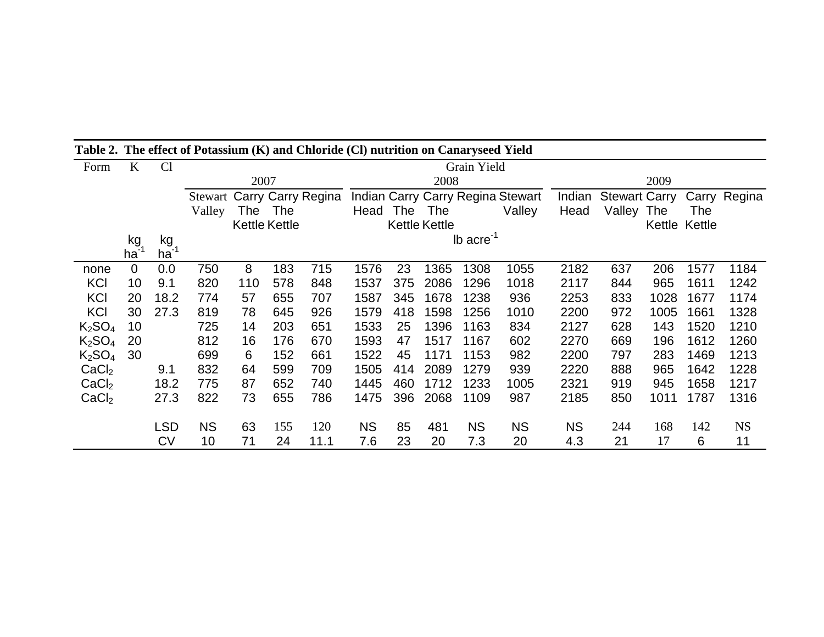| Form                           | $\bf K$     | Cl        |             |      |                      |                                   |           |     |                      |                |                                   |           |                      |            |               |              |  |
|--------------------------------|-------------|-----------|-------------|------|----------------------|-----------------------------------|-----------|-----|----------------------|----------------|-----------------------------------|-----------|----------------------|------------|---------------|--------------|--|
|                                |             |           | Grain Yield |      |                      |                                   |           |     |                      |                |                                   |           |                      |            |               |              |  |
|                                |             |           |             | 2007 |                      |                                   |           |     | 2008                 |                |                                   | 2009      |                      |            |               |              |  |
|                                |             |           |             |      |                      | <b>Stewart Carry Carry Regina</b> |           |     |                      |                | Indian Carry Carry Regina Stewart | Indian    | <b>Stewart Carry</b> |            |               | Carry Regina |  |
|                                |             |           | Valley      | The  | The                  |                                   | Head      | The | <b>The</b>           |                | Valley                            | Head      | Valley               | <b>The</b> | The           |              |  |
|                                |             |           |             |      | <b>Kettle Kettle</b> |                                   |           |     | <b>Kettle Kettle</b> |                |                                   |           |                      |            | Kettle Kettle |              |  |
|                                | kg          | kg        |             |      |                      |                                   |           |     |                      | Ib $\arccos 1$ |                                   |           |                      |            |               |              |  |
|                                | ha          | $ha^{-1}$ |             |      |                      |                                   |           |     |                      |                |                                   |           |                      |            |               |              |  |
| none                           | $\mathbf 0$ | 0.0       | 750         | 8    | 183                  | 715                               | 1576      | 23  | 1365                 | 1308           | 1055                              | 2182      | 637                  | 206        | 1577          | 1184         |  |
| <b>KCI</b>                     | 10          | 9.1       | 820         | 110  | 578                  | 848                               | 1537      | 375 | 2086                 | 1296           | 1018                              | 2117      | 844                  | 965        | 1611          | 1242         |  |
| <b>KCI</b>                     | 20          | 18.2      | 774         | 57   | 655                  | 707                               | 1587      | 345 | 1678                 | 1238           | 936                               | 2253      | 833                  | 1028       | 1677          | 1174         |  |
| KCI                            | 30          | 27.3      | 819         | 78   | 645                  | 926                               | 1579      | 418 | 1598                 | 1256           | 1010                              | 2200      | 972                  | 1005       | 1661          | 1328         |  |
| K <sub>2</sub> SO <sub>4</sub> | 10          |           | 725         | 14   | 203                  | 651                               | 1533      | 25  | 1396                 | 1163           | 834                               | 2127      | 628                  | 143        | 1520          | 1210         |  |
| K <sub>2</sub> SO <sub>4</sub> | 20          |           | 812         | 16   | 176                  | 670                               | 1593      | 47  | 1517                 | 1167           | 602                               | 2270      | 669                  | 196        | 1612          | 1260         |  |
| K <sub>2</sub> SO <sub>4</sub> | 30          |           | 699         | 6    | 152                  | 661                               | 1522      | 45  | 1171                 | 1153           | 982                               | 2200      | 797                  | 283        | 1469          | 1213         |  |
| CaCl <sub>2</sub>              |             | 9.1       | 832         | 64   | 599                  | 709                               | 1505      | 414 | 2089                 | 1279           | 939                               | 2220      | 888                  | 965        | 1642          | 1228         |  |
| CaCl <sub>2</sub>              |             | 18.2      | 775         | 87   | 652                  | 740                               | 1445      | 460 | 1712                 | 1233           | 1005                              | 2321      | 919                  | 945        | 1658          | 1217         |  |
| CaCl <sub>2</sub>              |             | 27.3      | 822         | 73   | 655                  | 786                               | 1475      | 396 | 2068                 | 1109           | 987                               | 2185      | 850                  | 1011       | 1787          | 1316         |  |
|                                |             |           |             |      |                      |                                   |           |     |                      |                |                                   |           |                      |            |               |              |  |
|                                |             | LSD       | <b>NS</b>   | 63   | 155                  | 120                               | <b>NS</b> | 85  | 481                  | <b>NS</b>      | <b>NS</b>                         | <b>NS</b> | 244                  | 168        | 142           | <b>NS</b>    |  |
|                                |             | <b>CV</b> | 10          | 71   | 24                   | 11.1                              | 7.6       | 23  | 20                   | 7.3            | 20                                | 4.3       | 21                   | 17         | 6             | 11           |  |

**Table 2. The effect of Potassium (K) and Chloride (Cl) nutrition on Canaryseed Yield**